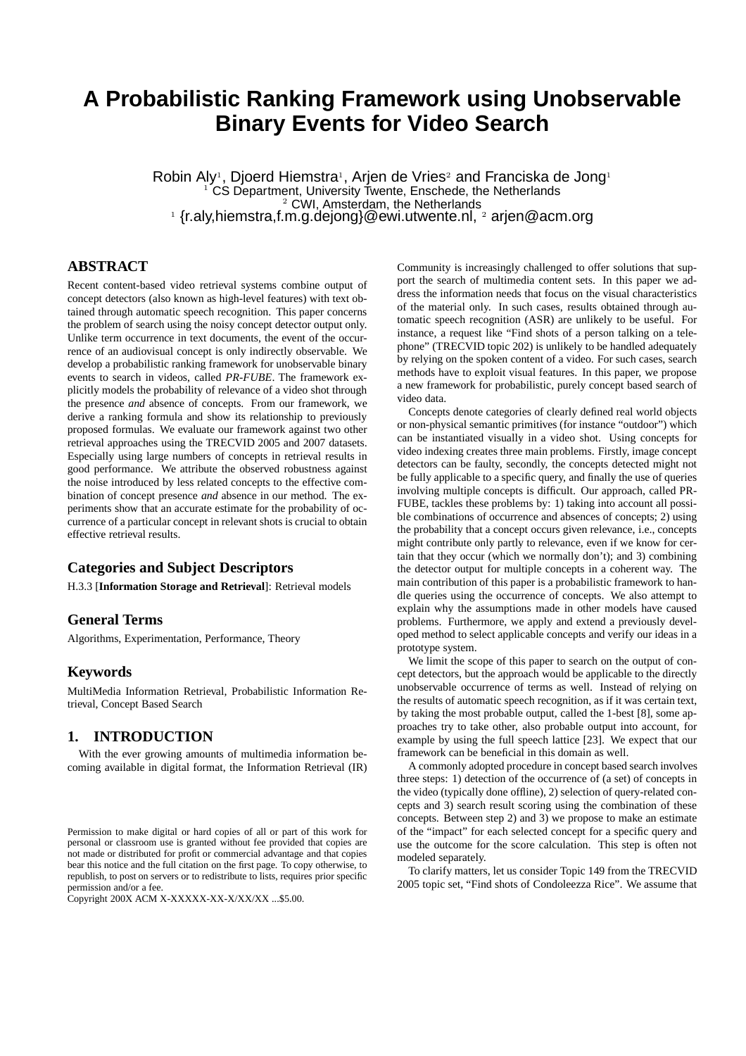# **A Probabilistic Ranking Framework using Unobservable Binary Events for Video Search**

Robin Aly<sup>1</sup>, Djoerd Hiemstra<sup>1</sup>, Arjen de Vries<sup>2</sup> and Franciska de Jong<sup>1</sup> <sup>1</sup> CS Department, University Twente, Enschede, the Netherlands <sup>2</sup> CWI, Amsterdam, the Netherlands  $^{1}$  {r.aly,hiemstra,f.m.g.dejong}@ewi.utwente.nl,  $^{2}$  arjen@acm.org

## **ABSTRACT**

Recent content-based video retrieval systems combine output of concept detectors (also known as high-level features) with text obtained through automatic speech recognition. This paper concerns the problem of search using the noisy concept detector output only. Unlike term occurrence in text documents, the event of the occurrence of an audiovisual concept is only indirectly observable. We develop a probabilistic ranking framework for unobservable binary events to search in videos, called *PR-FUBE*. The framework explicitly models the probability of relevance of a video shot through the presence *and* absence of concepts. From our framework, we derive a ranking formula and show its relationship to previously proposed formulas. We evaluate our framework against two other retrieval approaches using the TRECVID 2005 and 2007 datasets. Especially using large numbers of concepts in retrieval results in good performance. We attribute the observed robustness against the noise introduced by less related concepts to the effective combination of concept presence *and* absence in our method. The experiments show that an accurate estimate for the probability of occurrence of a particular concept in relevant shots is crucial to obtain effective retrieval results.

## **Categories and Subject Descriptors**

H.3.3 [**Information Storage and Retrieval**]: Retrieval models

## **General Terms**

Algorithms, Experimentation, Performance, Theory

## **Keywords**

MultiMedia Information Retrieval, Probabilistic Information Retrieval, Concept Based Search

# **1. INTRODUCTION**

With the ever growing amounts of multimedia information becoming available in digital format, the Information Retrieval (IR)

Copyright 200X ACM X-XXXXX-XX-X/XX/XX ...\$5.00.

Community is increasingly challenged to offer solutions that support the search of multimedia content sets. In this paper we address the information needs that focus on the visual characteristics of the material only. In such cases, results obtained through automatic speech recognition (ASR) are unlikely to be useful. For instance, a request like "Find shots of a person talking on a telephone" (TRECVID topic 202) is unlikely to be handled adequately by relying on the spoken content of a video. For such cases, search methods have to exploit visual features. In this paper, we propose a new framework for probabilistic, purely concept based search of video data.

Concepts denote categories of clearly defined real world objects or non-physical semantic primitives (for instance "outdoor") which can be instantiated visually in a video shot. Using concepts for video indexing creates three main problems. Firstly, image concept detectors can be faulty, secondly, the concepts detected might not be fully applicable to a specific query, and finally the use of queries involving multiple concepts is difficult. Our approach, called PR-FUBE, tackles these problems by: 1) taking into account all possible combinations of occurrence and absences of concepts; 2) using the probability that a concept occurs given relevance, i.e., concepts might contribute only partly to relevance, even if we know for certain that they occur (which we normally don't); and 3) combining the detector output for multiple concepts in a coherent way. The main contribution of this paper is a probabilistic framework to handle queries using the occurrence of concepts. We also attempt to explain why the assumptions made in other models have caused problems. Furthermore, we apply and extend a previously developed method to select applicable concepts and verify our ideas in a prototype system.

We limit the scope of this paper to search on the output of concept detectors, but the approach would be applicable to the directly unobservable occurrence of terms as well. Instead of relying on the results of automatic speech recognition, as if it was certain text, by taking the most probable output, called the 1-best [8], some approaches try to take other, also probable output into account, for example by using the full speech lattice [23]. We expect that our framework can be beneficial in this domain as well.

A commonly adopted procedure in concept based search involves three steps: 1) detection of the occurrence of (a set) of concepts in the video (typically done offline), 2) selection of query-related concepts and 3) search result scoring using the combination of these concepts. Between step 2) and 3) we propose to make an estimate of the "impact" for each selected concept for a specific query and use the outcome for the score calculation. This step is often not modeled separately.

To clarify matters, let us consider Topic 149 from the TRECVID 2005 topic set, "Find shots of Condoleezza Rice". We assume that

Permission to make digital or hard copies of all or part of this work for personal or classroom use is granted without fee provided that copies are not made or distributed for profit or commercial advantage and that copies bear this notice and the full citation on the first page. To copy otherwise, to republish, to post on servers or to redistribute to lists, requires prior specific permission and/or a fee.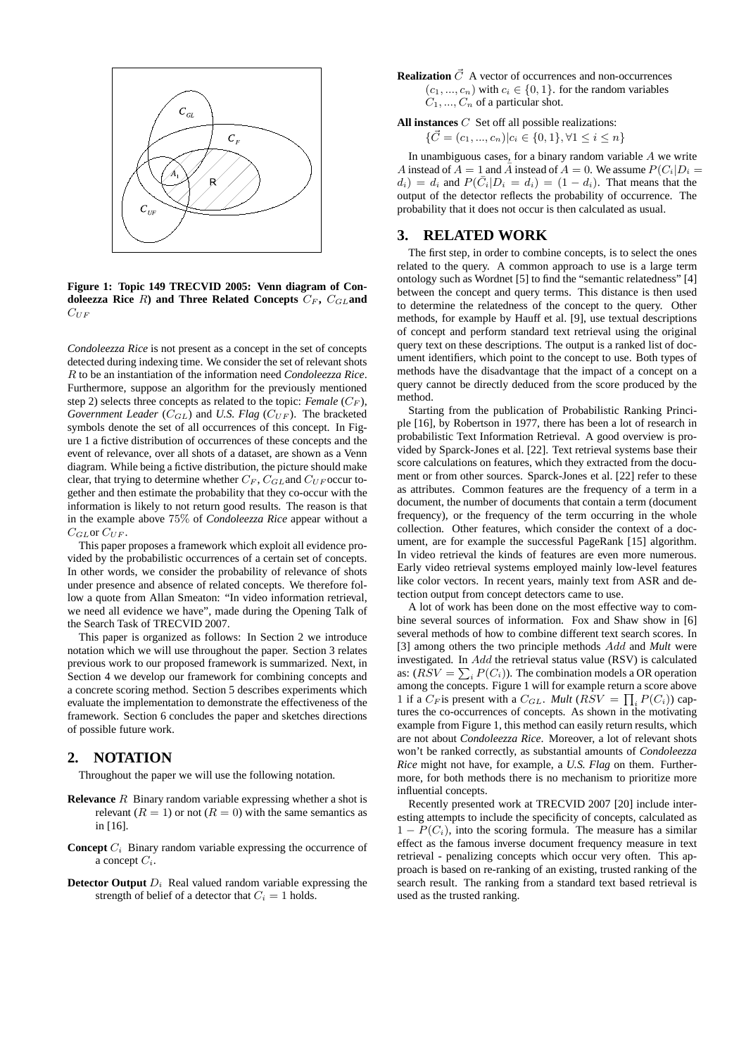

**Figure 1: Topic 149 TRECVID 2005: Venn diagram of Condoleezza Rice**  $R$ **) and Three Related Concepts**  $C_F$ ,  $C_{GL}$  and  $C_{UF}$ 

*Condoleezza Rice* is not present as a concept in the set of concepts detected during indexing time. We consider the set of relevant shots R to be an instantiation of the information need *Condoleezza Rice*. Furthermore, suppose an algorithm for the previously mentioned step 2) selects three concepts as related to the topic: *Female*  $(C_F)$ , *Government Leader* ( $C_{GL}$ ) and *U.S. Flag* ( $C_{UF}$ ). The bracketed symbols denote the set of all occurrences of this concept. In Figure 1 a fictive distribution of occurrences of these concepts and the event of relevance, over all shots of a dataset, are shown as a Venn diagram. While being a fictive distribution, the picture should make clear, that trying to determine whether  $C_F$ ,  $C_{GL}$  and  $C_{UF}$  occur together and then estimate the probability that they co-occur with the information is likely to not return good results. The reason is that in the example above 75% of *Condoleezza Rice* appear without a  $C_{GL}$  or  $C_{UF}$ .

This paper proposes a framework which exploit all evidence provided by the probabilistic occurrences of a certain set of concepts. In other words, we consider the probability of relevance of shots under presence and absence of related concepts. We therefore follow a quote from Allan Smeaton: "In video information retrieval, we need all evidence we have", made during the Opening Talk of the Search Task of TRECVID 2007.

This paper is organized as follows: In Section 2 we introduce notation which we will use throughout the paper. Section 3 relates previous work to our proposed framework is summarized. Next, in Section 4 we develop our framework for combining concepts and a concrete scoring method. Section 5 describes experiments which evaluate the implementation to demonstrate the effectiveness of the framework. Section 6 concludes the paper and sketches directions of possible future work.

## **2. NOTATION**

Throughout the paper we will use the following notation.

- **Relevance** R Binary random variable expressing whether a shot is relevant  $(R = 1)$  or not  $(R = 0)$  with the same semantics as in [16].
- **Concept**  $C_i$  Binary random variable expressing the occurrence of a concept  $C_i$ .
- **Detector Output**  $D_i$  Real valued random variable expressing the strength of belief of a detector that  $C_i = 1$  holds.

**Realization**  $\vec{C}$  A vector of occurrences and non-occurrences  $(c_1, ..., c_n)$  with  $c_i \in \{0, 1\}$ . for the random variables  $C_1, ..., C_n$  of a particular shot.

**All instances** C Set off all possible realizations:

$$
\{\vec{C} = (c_1, ..., c_n)|c_i \in \{0, 1\}, \forall 1 \le i \le n\}
$$

In unambiguous cases, for a binary random variable  $A$  we write A instead of  $A = 1$  and  $\overline{A}$  instead of  $A = 0$ . We assume  $P(C_i|D_i)$  $d_i$  =  $d_i$  and  $P(\bar{C}_i|D_i = d_i) = (1 - d_i)$ . That means that the output of the detector reflects the probability of occurrence. The probability that it does not occur is then calculated as usual.

## **3. RELATED WORK**

The first step, in order to combine concepts, is to select the ones related to the query. A common approach to use is a large term ontology such as Wordnet [5] to find the "semantic relatedness" [4] between the concept and query terms. This distance is then used to determine the relatedness of the concept to the query. Other methods, for example by Hauff et al. [9], use textual descriptions of concept and perform standard text retrieval using the original query text on these descriptions. The output is a ranked list of document identifiers, which point to the concept to use. Both types of methods have the disadvantage that the impact of a concept on a query cannot be directly deduced from the score produced by the method.

Starting from the publication of Probabilistic Ranking Principle [16], by Robertson in 1977, there has been a lot of research in probabilistic Text Information Retrieval. A good overview is provided by Sparck-Jones et al. [22]. Text retrieval systems base their score calculations on features, which they extracted from the document or from other sources. Sparck-Jones et al. [22] refer to these as attributes. Common features are the frequency of a term in a document, the number of documents that contain a term (document frequency), or the frequency of the term occurring in the whole collection. Other features, which consider the context of a document, are for example the successful PageRank [15] algorithm. In video retrieval the kinds of features are even more numerous. Early video retrieval systems employed mainly low-level features like color vectors. In recent years, mainly text from ASR and detection output from concept detectors came to use.

A lot of work has been done on the most effective way to combine several sources of information. Fox and Shaw show in [6] several methods of how to combine different text search scores. In [3] among others the two principle methods Add and *Mult* were investigated. In Add the retrieval status value (RSV) is calculated as:  $(RSV = \sum_i P(C_i)$ ). The combination models a OR operation among the concepts. Figure 1 will for example return a score above 1 if a  $C_F$  is present with a  $C_{GL}$ . *Mult* ( $\overline{RSV} = \prod_i P(C_i)$ ) captures the co-occurrences of concepts. As shown in the motivating example from Figure 1, this method can easily return results, which are not about *Condoleezza Rice*. Moreover, a lot of relevant shots won't be ranked correctly, as substantial amounts of *Condoleezza Rice* might not have, for example, a *U.S. Flag* on them. Furthermore, for both methods there is no mechanism to prioritize more influential concepts.

Recently presented work at TRECVID 2007 [20] include interesting attempts to include the specificity of concepts, calculated as  $1 - P(C_i)$ , into the scoring formula. The measure has a similar effect as the famous inverse document frequency measure in text retrieval - penalizing concepts which occur very often. This approach is based on re-ranking of an existing, trusted ranking of the search result. The ranking from a standard text based retrieval is used as the trusted ranking.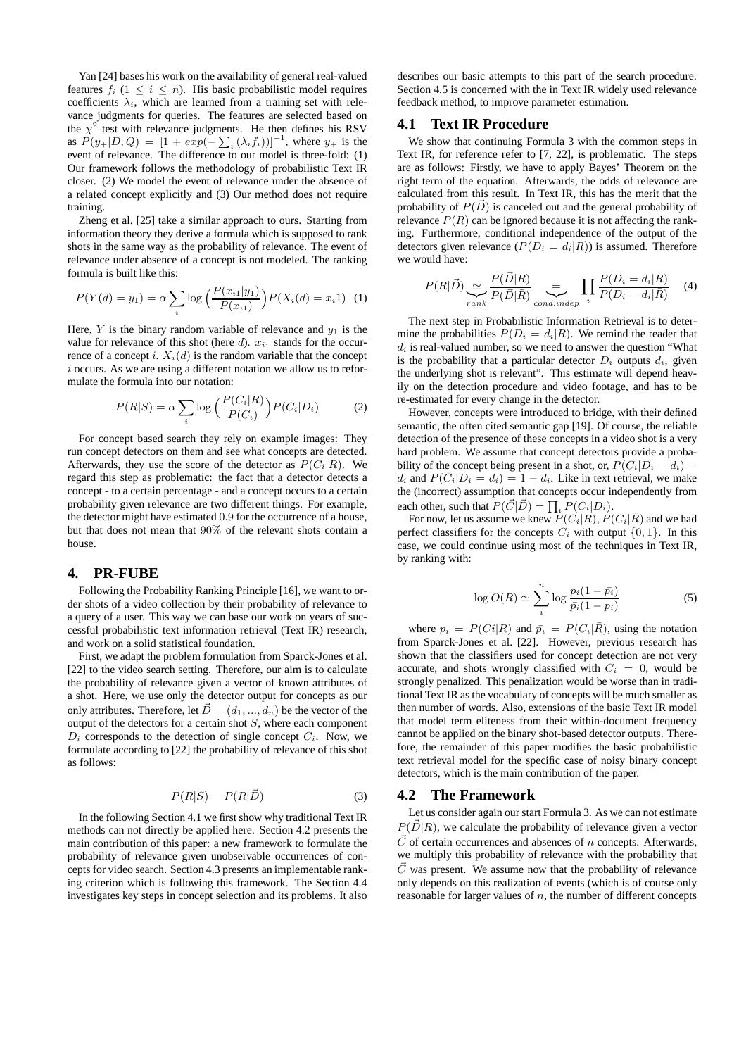Yan [24] bases his work on the availability of general real-valued features  $f_i$  ( $1 \leq i \leq n$ ). His basic probabilistic model requires coefficients  $\lambda_i$ , which are learned from a training set with relevance judgments for queries. The features are selected based on the  $\chi^2$  test with relevance judgments. He then defines his RSV as  $P(y_+|D,Q) = [1 + exp(-\sum_i (\lambda_i f_i))]^{-1}$ , where  $y_+$  is the event of relevance. The difference to our model is three-fold: (1) Our framework follows the methodology of probabilistic Text IR closer. (2) We model the event of relevance under the absence of a related concept explicitly and (3) Our method does not require training.

Zheng et al. [25] take a similar approach to ours. Starting from information theory they derive a formula which is supposed to rank shots in the same way as the probability of relevance. The event of relevance under absence of a concept is not modeled. The ranking formula is built like this:

$$
P(Y(d) = y_1) = \alpha \sum_{i} \log \left( \frac{P(x_{i1}|y_1)}{P(x_{i1})} \right) P(X_i(d) = x_i 1) \tag{1}
$$

Here, Y is the binary random variable of relevance and  $y_1$  is the value for relevance of this shot (here  $d$ ).  $x_{i_1}$  stands for the occurrence of a concept i.  $X_i(d)$  is the random variable that the concept  $i$  occurs. As we are using a different notation we allow us to reformulate the formula into our notation:

$$
P(R|S) = \alpha \sum_{i} \log \left( \frac{P(C_i|R)}{P(C_i)} \right) P(C_i|D_i)
$$
 (2)

For concept based search they rely on example images: They run concept detectors on them and see what concepts are detected. Afterwards, they use the score of the detector as  $P(C_i|R)$ . We regard this step as problematic: the fact that a detector detects a concept - to a certain percentage - and a concept occurs to a certain probability given relevance are two different things. For example, the detector might have estimated 0.9 for the occurrence of a house, but that does not mean that 90% of the relevant shots contain a house.

## **4. PR-FUBE**

Following the Probability Ranking Principle [16], we want to order shots of a video collection by their probability of relevance to a query of a user. This way we can base our work on years of successful probabilistic text information retrieval (Text IR) research, and work on a solid statistical foundation.

First, we adapt the problem formulation from Sparck-Jones et al. [22] to the video search setting. Therefore, our aim is to calculate the probability of relevance given a vector of known attributes of a shot. Here, we use only the detector output for concepts as our only attributes. Therefore, let  $\vec{D} = (d_1, ..., d_n)$  be the vector of the output of the detectors for a certain shot  $S$ , where each component  $D_i$  corresponds to the detection of single concept  $C_i$ . Now, we formulate according to [22] the probability of relevance of this shot as follows:

$$
P(R|S) = P(R|\vec{D})\tag{3}
$$

In the following Section 4.1 we first show why traditional Text IR methods can not directly be applied here. Section 4.2 presents the main contribution of this paper: a new framework to formulate the probability of relevance given unobservable occurrences of concepts for video search. Section 4.3 presents an implementable ranking criterion which is following this framework. The Section 4.4 investigates key steps in concept selection and its problems. It also

describes our basic attempts to this part of the search procedure. Section 4.5 is concerned with the in Text IR widely used relevance feedback method, to improve parameter estimation.

## **4.1 Text IR Procedure**

We show that continuing Formula 3 with the common steps in Text IR, for reference refer to [7, 22], is problematic. The steps are as follows: Firstly, we have to apply Bayes' Theorem on the right term of the equation. Afterwards, the odds of relevance are calculated from this result. In Text IR, this has the merit that the probability of  $P(\vec{D})$  is canceled out and the general probability of relevance  $P(R)$  can be ignored because it is not affecting the ranking. Furthermore, conditional independence of the output of the detectors given relevance  $(P(D_i = d_i|R))$  is assumed. Therefore we would have:

$$
P(R|\vec{D}) \underbrace{\sim}_{rank} \frac{P(\vec{D}|R)}{P(\vec{D}|\bar{R})} \underbrace{=}_{cond.indep} \prod_{i} \frac{P(D_i = d_i|R)}{P(D_i = d_i|\bar{R})} \tag{4}
$$

The next step in Probabilistic Information Retrieval is to determine the probabilities  $P(D_i = d_i|R)$ . We remind the reader that  $d_i$  is real-valued number, so we need to answer the question "What is the probability that a particular detector  $D_i$  outputs  $d_i$ , given the underlying shot is relevant". This estimate will depend heavily on the detection procedure and video footage, and has to be re-estimated for every change in the detector.

However, concepts were introduced to bridge, with their defined semantic, the often cited semantic gap [19]. Of course, the reliable detection of the presence of these concepts in a video shot is a very hard problem. We assume that concept detectors provide a probability of the concept being present in a shot, or,  $P(C_i|D_i = d_i)$  $d_i$  and  $P(\bar{C}_i|D_i = d_i) = 1 - d_i$ . Like in text retrieval, we make the (incorrect) assumption that concepts occur independently from each other, such that  $P(\vec{C}|\vec{D}) = \prod_i P(C_i|D_i)$ .

For now, let us assume we knew  $\tilde{P}(C_i|R)$ ,  $P(C_i|\bar{R})$  and we had perfect classifiers for the concepts  $C_i$  with output  $\{0, 1\}$ . In this case, we could continue using most of the techniques in Text IR, by ranking with:

$$
\log O(R) \simeq \sum_{i}^{n} \log \frac{p_i (1 - \bar{p_i})}{\bar{p_i} (1 - p_i)}
$$
(5)

where  $p_i = P(C_i|R)$  and  $\bar{p}_i = P(C_i|\bar{R})$ , using the notation from Sparck-Jones et al. [22]. However, previous research has shown that the classifiers used for concept detection are not very accurate, and shots wrongly classified with  $C_i = 0$ , would be strongly penalized. This penalization would be worse than in traditional Text IR as the vocabulary of concepts will be much smaller as then number of words. Also, extensions of the basic Text IR model that model term eliteness from their within-document frequency cannot be applied on the binary shot-based detector outputs. Therefore, the remainder of this paper modifies the basic probabilistic text retrieval model for the specific case of noisy binary concept detectors, which is the main contribution of the paper.

## **4.2 The Framework**

Let us consider again our start Formula 3. As we can not estimate  $P(\vec{D}|R)$ , we calculate the probability of relevance given a vector  $\vec{C}$  of certain occurrences and absences of n concepts. Afterwards, we multiply this probability of relevance with the probability that  $\vec{C}$  was present. We assume now that the probability of relevance only depends on this realization of events (which is of course only reasonable for larger values of  $n$ , the number of different concepts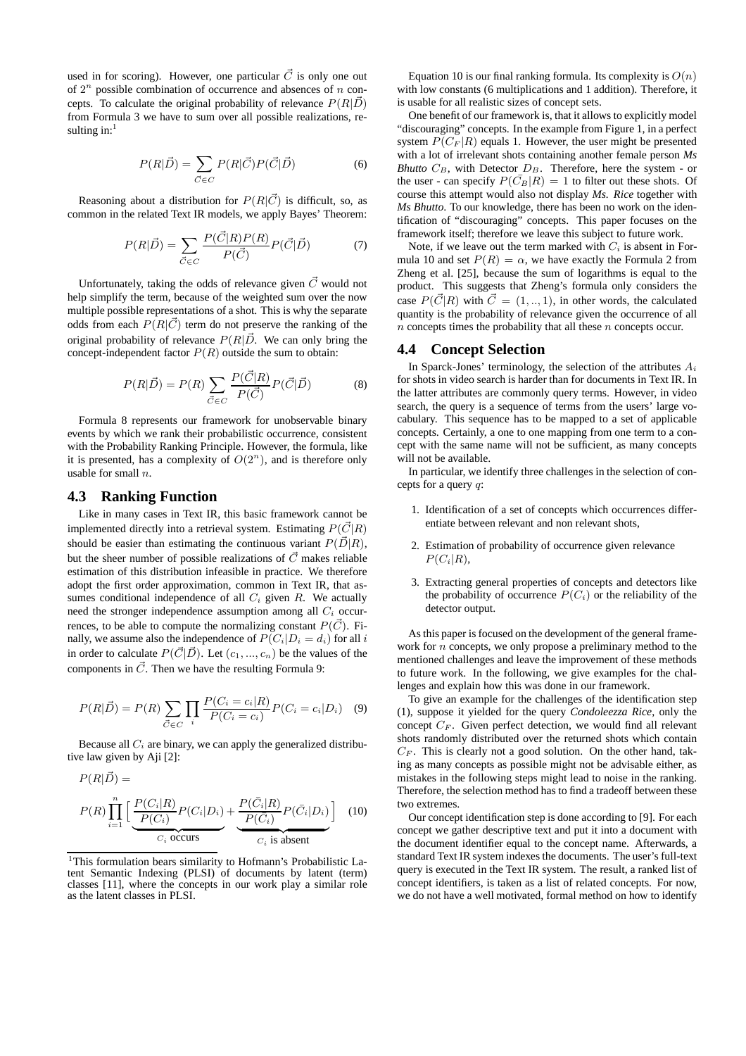used in for scoring). However, one particular  $\vec{C}$  is only one out of  $2^n$  possible combination of occurrence and absences of  $n$  concepts. To calculate the original probability of relevance  $P(R|\vec{D})$ from Formula 3 we have to sum over all possible realizations, resulting in: $<sup>1</sup>$ </sup>

$$
P(R|\vec{D}) = \sum_{\vec{C} \in C} P(R|\vec{C}) P(\vec{C}|\vec{D})
$$
 (6)

Reasoning about a distribution for  $P(R|\vec{C})$  is difficult, so, as common in the related Text IR models, we apply Bayes' Theorem:

$$
P(R|\vec{D}) = \sum_{\vec{C} \in C} \frac{P(\vec{C}|R)P(R)}{P(\vec{C})} P(\vec{C}|\vec{D})
$$
(7)

Unfortunately, taking the odds of relevance given  $\vec{C}$  would not help simplify the term, because of the weighted sum over the now multiple possible representations of a shot. This is why the separate odds from each  $P(R|\vec{C})$  term do not preserve the ranking of the original probability of relevance  $P(R|\vec{D})$ . We can only bring the concept-independent factor  $P(R)$  outside the sum to obtain:

$$
P(R|\vec{D}) = P(R) \sum_{\vec{C} \in C} \frac{P(\vec{C}|R)}{P(\vec{C})} P(\vec{C}|\vec{D})
$$
(8)

Formula 8 represents our framework for unobservable binary events by which we rank their probabilistic occurrence, consistent with the Probability Ranking Principle. However, the formula, like it is presented, has a complexity of  $O(2^n)$ , and is therefore only usable for small  $n$ .

#### **4.3 Ranking Function**

Like in many cases in Text IR, this basic framework cannot be implemented directly into a retrieval system. Estimating  $P(\vec{C}|R)$ should be easier than estimating the continuous variant  $P(\vec{D}|R)$ , but the sheer number of possible realizations of  $\vec{C}$  makes reliable estimation of this distribution infeasible in practice. We therefore adopt the first order approximation, common in Text IR, that assumes conditional independence of all  $C_i$  given R. We actually need the stronger independence assumption among all  $C_i$  occurrences, to be able to compute the normalizing constant  $P(\vec{C})$ . Finally, we assume also the independence of  $P(C_i|D_i = d_i)$  for all i in order to calculate  $P(\vec{C}|\vec{D})$ . Let  $(c_1, ..., c_n)$  be the values of the components in  $\vec{C}$ . Then we have the resulting Formula 9:

$$
P(R|\vec{D}) = P(R) \sum_{\vec{C} \in C} \prod_{i} \frac{P(C_i = c_i | R)}{P(C_i = c_i)} P(C_i = c_i | D_i)
$$
 (9)

Because all  $C_i$  are binary, we can apply the generalized distributive law given by Aji [2]:

$$
P(R|\vec{D}) =
$$
  
\n
$$
P(R)\prod_{i=1}^{n} \Big[\underbrace{\frac{P(C_i|R)}{P(C_i)}P(C_i|D_i)}_{C_i \text{ occurs}} + \underbrace{\frac{P(\bar{C}_i|R)}{P(\bar{C}_i)}P(\bar{C}_i|D_i)}_{C_i \text{ is absent}}\Big] \quad (10)
$$

<sup>1</sup>This formulation bears similarity to Hofmann's Probabilistic Latent Semantic Indexing (PLSI) of documents by latent (term) classes [11], where the concepts in our work play a similar role as the latent classes in PLSI.

Equation 10 is our final ranking formula. Its complexity is  $O(n)$ with low constants (6 multiplications and 1 addition). Therefore, it is usable for all realistic sizes of concept sets.

One benefit of our framework is, that it allows to explicitly model "discouraging" concepts. In the example from Figure 1, in a perfect system  $P(C_F | R)$  equals 1. However, the user might be presented with a lot of irrelevant shots containing another female person *Ms Bhutto*  $C_B$ , with Detector  $D_B$ . Therefore, here the system - or the user - can specify  $P(C_B|R) = 1$  to filter out these shots. Of course this attempt would also not display *Ms. Rice* together with *Ms Bhutto*. To our knowledge, there has been no work on the identification of "discouraging" concepts. This paper focuses on the framework itself; therefore we leave this subject to future work.

Note, if we leave out the term marked with  $C_i$  is absent in Formula 10 and set  $P(R) = \alpha$ , we have exactly the Formula 2 from Zheng et al. [25], because the sum of logarithms is equal to the product. This suggests that Zheng's formula only considers the case  $P(\vec{C}|R)$  with  $\vec{C} = (1, ..., 1)$ , in other words, the calculated quantity is the probability of relevance given the occurrence of all  $n$  concepts times the probability that all these  $n$  concepts occur.

## **4.4 Concept Selection**

In Sparck-Jones' terminology, the selection of the attributes  $A_i$ for shots in video search is harder than for documents in Text IR. In the latter attributes are commonly query terms. However, in video search, the query is a sequence of terms from the users' large vocabulary. This sequence has to be mapped to a set of applicable concepts. Certainly, a one to one mapping from one term to a concept with the same name will not be sufficient, as many concepts will not be available.

In particular, we identify three challenges in the selection of concepts for a query q:

- 1. Identification of a set of concepts which occurrences differentiate between relevant and non relevant shots,
- 2. Estimation of probability of occurrence given relevance  $P(C_i|R)$ ,
- 3. Extracting general properties of concepts and detectors like the probability of occurrence  $P(C_i)$  or the reliability of the detector output.

As this paper is focused on the development of the general framework for  $n$  concepts, we only propose a preliminary method to the mentioned challenges and leave the improvement of these methods to future work. In the following, we give examples for the challenges and explain how this was done in our framework.

To give an example for the challenges of the identification step (1), suppose it yielded for the query *Condoleezza Rice*, only the concept  $C_F$ . Given perfect detection, we would find all relevant shots randomly distributed over the returned shots which contain  $C_F$ . This is clearly not a good solution. On the other hand, taking as many concepts as possible might not be advisable either, as mistakes in the following steps might lead to noise in the ranking. Therefore, the selection method has to find a tradeoff between these two extremes.

Our concept identification step is done according to [9]. For each concept we gather descriptive text and put it into a document with the document identifier equal to the concept name. Afterwards, a standard Text IR system indexes the documents. The user's full-text query is executed in the Text IR system. The result, a ranked list of concept identifiers, is taken as a list of related concepts. For now, we do not have a well motivated, formal method on how to identify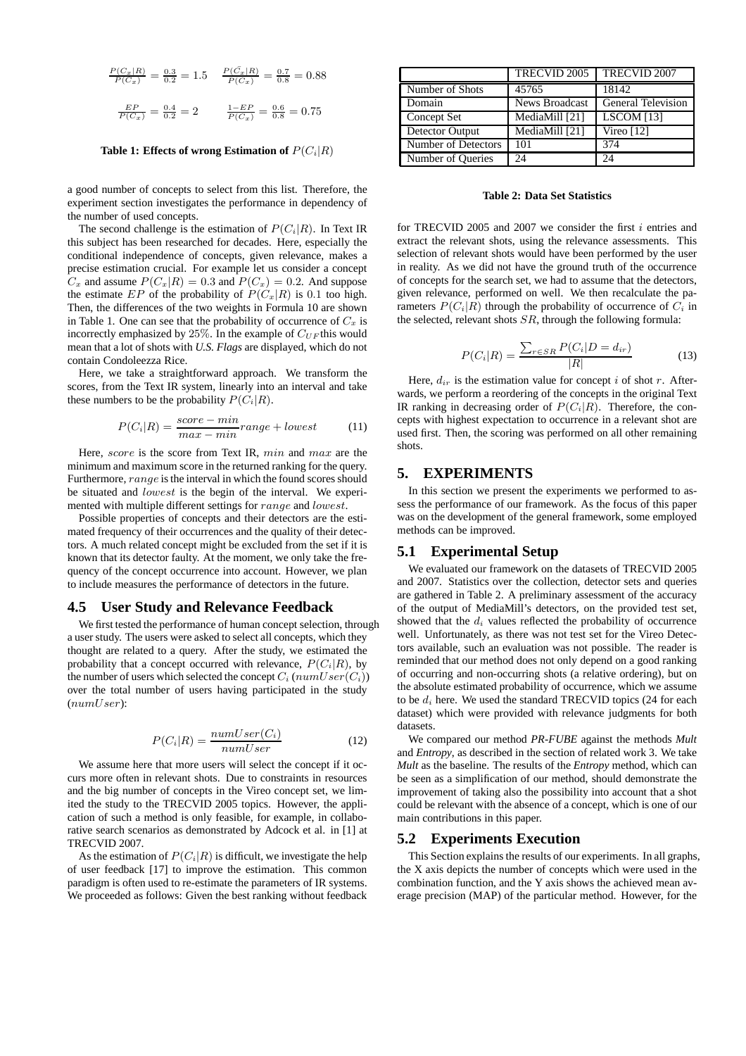$$
\frac{P(C_x|R)}{P(C_x)} = \frac{0.3}{0.2} = 1.5 \qquad \frac{P(\bar{C}_x|R)}{P(\bar{C}_x)} = \frac{0.7}{0.8} = 0.88
$$

$$
\frac{EP}{P(C_x)} = \frac{0.4}{0.2} = 2 \qquad \frac{1 - EP}{P(C_x)} = \frac{0.6}{0.8} = 0.75
$$

#### **Table 1: Effects of wrong Estimation of**  $P(C_i|R)$

a good number of concepts to select from this list. Therefore, the experiment section investigates the performance in dependency of the number of used concepts.

The second challenge is the estimation of  $P(C_i|R)$ . In Text IR this subject has been researched for decades. Here, especially the conditional independence of concepts, given relevance, makes a precise estimation crucial. For example let us consider a concept  $C_x$  and assume  $P(C_x|R) = 0.3$  and  $P(C_x) = 0.2$ . And suppose the estimate EP of the probability of  $P(C_x|R)$  is 0.1 too high. Then, the differences of the two weights in Formula 10 are shown in Table 1. One can see that the probability of occurrence of  $C_x$  is incorrectly emphasized by 25%. In the example of  $C_{UF}$  this would mean that a lot of shots with *U.S. Flags* are displayed, which do not contain Condoleezza Rice.

Here, we take a straightforward approach. We transform the scores, from the Text IR system, linearly into an interval and take these numbers to be the probability  $P(C_i|R)$ .

$$
P(C_i|R) = \frac{score - min}{max - min} range + lowest
$$
 (11)

Here, score is the score from Text IR, min and max are the minimum and maximum score in the returned ranking for the query. Furthermore, range is the interval in which the found scores should be situated and lowest is the begin of the interval. We experimented with multiple different settings for range and lowest.

Possible properties of concepts and their detectors are the estimated frequency of their occurrences and the quality of their detectors. A much related concept might be excluded from the set if it is known that its detector faulty. At the moment, we only take the frequency of the concept occurrence into account. However, we plan to include measures the performance of detectors in the future.

#### **4.5 User Study and Relevance Feedback**

We first tested the performance of human concept selection, through a user study. The users were asked to select all concepts, which they thought are related to a query. After the study, we estimated the probability that a concept occurred with relevance,  $P(C_i|R)$ , by the number of users which selected the concept  $C_i$  ( $numUser(C_i)$ ) over the total number of users having participated in the study (numUser):

$$
P(C_i|R) = \frac{numUser(C_i)}{numUser}
$$
 (12)

We assume here that more users will select the concept if it occurs more often in relevant shots. Due to constraints in resources and the big number of concepts in the Vireo concept set, we limited the study to the TRECVID 2005 topics. However, the application of such a method is only feasible, for example, in collaborative search scenarios as demonstrated by Adcock et al. in [1] at TRECVID 2007.

As the estimation of  $P(C_i|R)$  is difficult, we investigate the help of user feedback [17] to improve the estimation. This common paradigm is often used to re-estimate the parameters of IR systems. We proceeded as follows: Given the best ranking without feedback

|                     | <b>TRECVID 2005</b> | <b>TRECVID 2007</b>       |
|---------------------|---------------------|---------------------------|
| Number of Shots     | 45765               | 18142                     |
| Domain              | News Broadcast      | <b>General Television</b> |
| Concept Set         | MediaMill [21]      | $LSCOM$ [13]              |
| Detector Output     | MediaMill [21]      | Vireo $[12]$              |
| Number of Detectors | 101                 | 374                       |
| Number of Queries   | 24                  | 24                        |

#### **Table 2: Data Set Statistics**

for TRECVID 2005 and 2007 we consider the first i entries and extract the relevant shots, using the relevance assessments. This selection of relevant shots would have been performed by the user in reality. As we did not have the ground truth of the occurrence of concepts for the search set, we had to assume that the detectors, given relevance, performed on well. We then recalculate the parameters  $P(C_i|R)$  through the probability of occurrence of  $C_i$  in the selected, relevant shots  $SR$ , through the following formula:

$$
P(C_i|R) = \frac{\sum_{r \in SR} P(C_i|D = d_{ir})}{|R|} \tag{13}
$$

Here,  $d_{ir}$  is the estimation value for concept i of shot r. Afterwards, we perform a reordering of the concepts in the original Text IR ranking in decreasing order of  $P(C_i|R)$ . Therefore, the concepts with highest expectation to occurrence in a relevant shot are used first. Then, the scoring was performed on all other remaining shots.

## **5. EXPERIMENTS**

In this section we present the experiments we performed to assess the performance of our framework. As the focus of this paper was on the development of the general framework, some employed methods can be improved.

#### **5.1 Experimental Setup**

We evaluated our framework on the datasets of TRECVID 2005 and 2007. Statistics over the collection, detector sets and queries are gathered in Table 2. A preliminary assessment of the accuracy of the output of MediaMill's detectors, on the provided test set, showed that the  $d_i$  values reflected the probability of occurrence well. Unfortunately, as there was not test set for the Vireo Detectors available, such an evaluation was not possible. The reader is reminded that our method does not only depend on a good ranking of occurring and non-occurring shots (a relative ordering), but on the absolute estimated probability of occurrence, which we assume to be  $d_i$  here. We used the standard TRECVID topics (24 for each dataset) which were provided with relevance judgments for both datasets.

We compared our method *PR-FUBE* against the methods *Mult* and *Entropy*, as described in the section of related work 3. We take *Mult* as the baseline. The results of the *Entropy* method, which can be seen as a simplification of our method, should demonstrate the improvement of taking also the possibility into account that a shot could be relevant with the absence of a concept, which is one of our main contributions in this paper.

#### **5.2 Experiments Execution**

This Section explains the results of our experiments. In all graphs, the X axis depicts the number of concepts which were used in the combination function, and the Y axis shows the achieved mean average precision (MAP) of the particular method. However, for the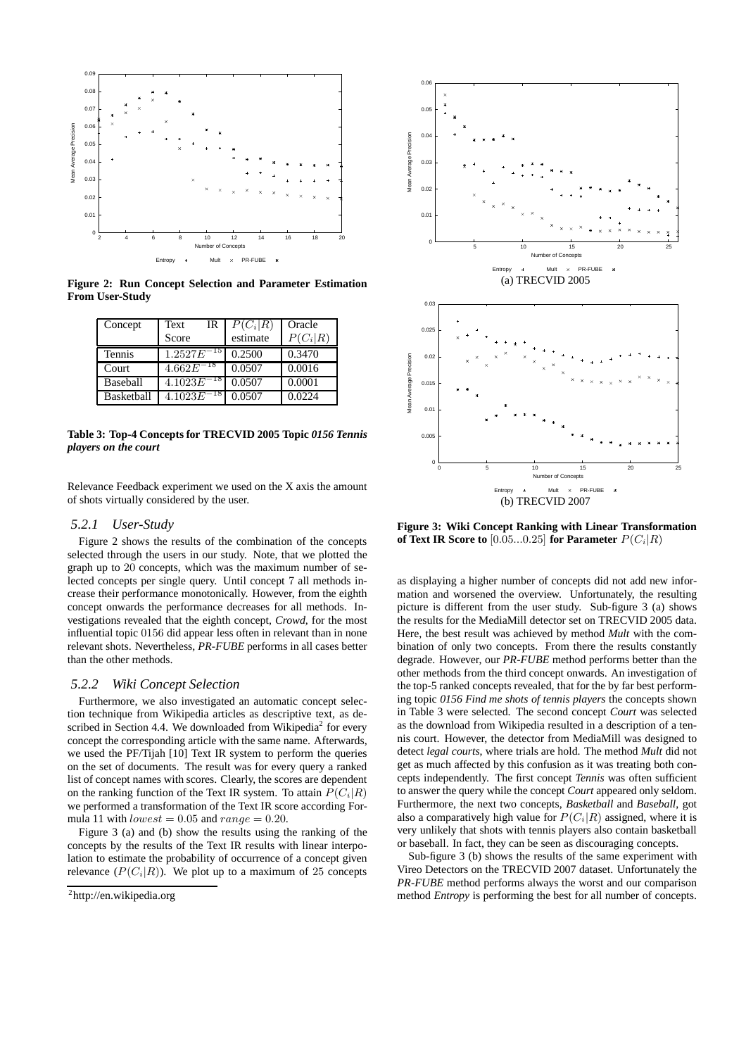

**Figure 2: Run Concept Selection and Parameter Estimation From User-Study**

| Concept    | Text<br>IR<br>Score | $P(C_i R)$<br>estimate | Oracle<br>$P(C_i R)$ |
|------------|---------------------|------------------------|----------------------|
| Tennis     | 1.2527E             | 0.2500                 | 0.3470               |
| Court      | 4.662E              | 0.0507                 | 0.0016               |
| Baseball   | 4.1023E             | 0.0507                 | 0.0001               |
| Basketball | 4.1023E             | 0.0507                 | 0.0224               |

**Table 3: Top-4 Concepts for TRECVID 2005 Topic** *0156 Tennis players on the court*

Relevance Feedback experiment we used on the X axis the amount of shots virtually considered by the user.

#### *5.2.1 User-Study*

Figure 2 shows the results of the combination of the concepts selected through the users in our study. Note, that we plotted the graph up to 20 concepts, which was the maximum number of selected concepts per single query. Until concept 7 all methods increase their performance monotonically. However, from the eighth concept onwards the performance decreases for all methods. Investigations revealed that the eighth concept, *Crowd*, for the most influential topic 0156 did appear less often in relevant than in none relevant shots. Nevertheless, *PR-FUBE* performs in all cases better than the other methods.

## *5.2.2 Wiki Concept Selection*

Furthermore, we also investigated an automatic concept selection technique from Wikipedia articles as descriptive text, as described in Section 4.4. We downloaded from Wikipedia<sup>2</sup> for every concept the corresponding article with the same name. Afterwards, we used the PF/Tijah [10] Text IR system to perform the queries on the set of documents. The result was for every query a ranked list of concept names with scores. Clearly, the scores are dependent on the ranking function of the Text IR system. To attain  $P(C_i|R)$ we performed a transformation of the Text IR score according Formula 11 with  $lowest = 0.05$  and  $range = 0.20$ .

Figure 3 (a) and (b) show the results using the ranking of the concepts by the results of the Text IR results with linear interpolation to estimate the probability of occurrence of a concept given relevance  $(P(C_i|R))$ . We plot up to a maximum of 25 concepts



**Figure 3: Wiki Concept Ranking with Linear Transformation of Text IR Score to**  $[0.05...0.25]$  for Parameter  $P(C_i|R)$ 

as displaying a higher number of concepts did not add new information and worsened the overview. Unfortunately, the resulting picture is different from the user study. Sub-figure 3 (a) shows the results for the MediaMill detector set on TRECVID 2005 data. Here, the best result was achieved by method *Mult* with the combination of only two concepts. From there the results constantly degrade. However, our *PR-FUBE* method performs better than the other methods from the third concept onwards. An investigation of the top-5 ranked concepts revealed, that for the by far best performing topic *0156 Find me shots of tennis players* the concepts shown in Table 3 were selected. The second concept *Court* was selected as the download from Wikipedia resulted in a description of a tennis court. However, the detector from MediaMill was designed to detect *legal courts*, where trials are hold. The method *Mult* did not get as much affected by this confusion as it was treating both concepts independently. The first concept *Tennis* was often sufficient to answer the query while the concept *Court* appeared only seldom. Furthermore, the next two concepts, *Basketball* and *Baseball*, got also a comparatively high value for  $P(C_i|R)$  assigned, where it is very unlikely that shots with tennis players also contain basketball or baseball. In fact, they can be seen as discouraging concepts.

Sub-figure 3 (b) shows the results of the same experiment with Vireo Detectors on the TRECVID 2007 dataset. Unfortunately the *PR-FUBE* method performs always the worst and our comparison method *Entropy* is performing the best for all number of concepts.

<sup>&</sup>lt;sup>2</sup>http://en.wikipedia.org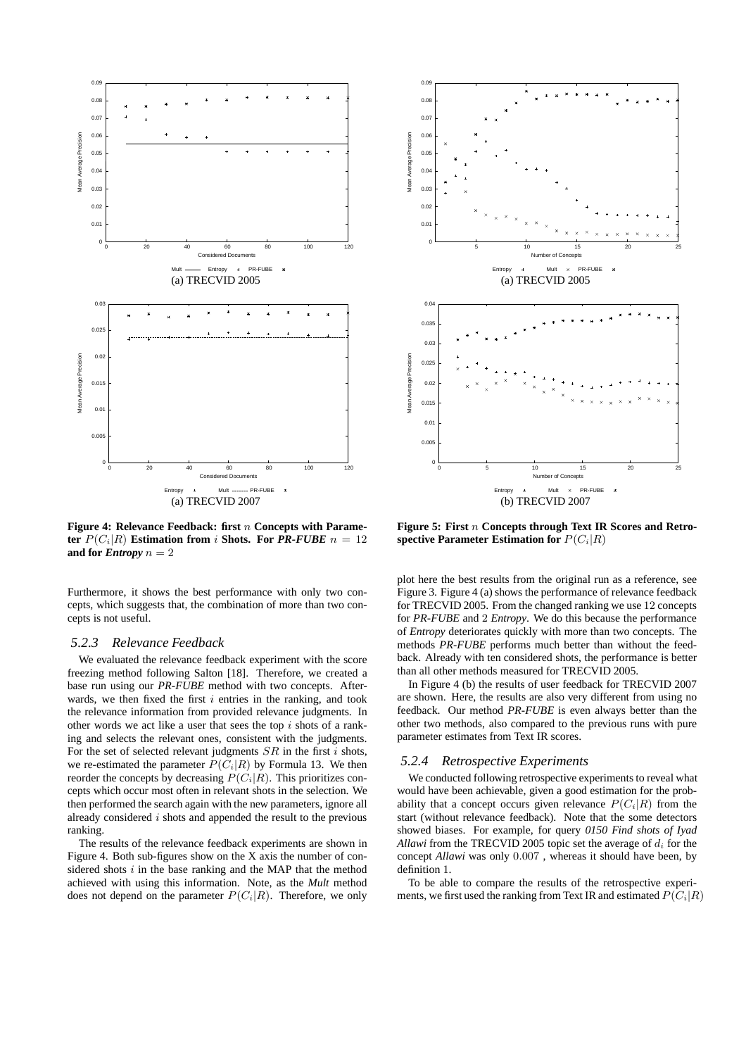

**Figure 4: Relevance Feedback: first** n **Concepts with Parameter**  $P(C_i|R)$  **Estimation from** *i* **Shots. For** *PR-FUBE*  $n = 12$ **and for** *Entropy*  $n = 2$ 

Furthermore, it shows the best performance with only two concepts, which suggests that, the combination of more than two concepts is not useful.

#### *5.2.3 Relevance Feedback*

We evaluated the relevance feedback experiment with the score freezing method following Salton [18]. Therefore, we created a base run using our *PR-FUBE* method with two concepts. Afterwards, we then fixed the first  $i$  entries in the ranking, and took the relevance information from provided relevance judgments. In other words we act like a user that sees the top  $i$  shots of a ranking and selects the relevant ones, consistent with the judgments. For the set of selected relevant judgments  $SR$  in the first i shots, we re-estimated the parameter  $P(\overline{C_i}|R)$  by Formula 13. We then reorder the concepts by decreasing  $P(C_i|R)$ . This prioritizes concepts which occur most often in relevant shots in the selection. We then performed the search again with the new parameters, ignore all already considered  $i$  shots and appended the result to the previous ranking.

The results of the relevance feedback experiments are shown in Figure 4. Both sub-figures show on the X axis the number of considered shots  $i$  in the base ranking and the MAP that the method achieved with using this information. Note, as the *Mult* method does not depend on the parameter  $P(C_i|R)$ . Therefore, we only



**Figure 5: First** n **Concepts through Text IR Scores and Retrospective Parameter Estimation for**  $P(C_i|R)$ 

plot here the best results from the original run as a reference, see Figure 3. Figure 4 (a) shows the performance of relevance feedback for TRECVID 2005. From the changed ranking we use 12 concepts for *PR-FUBE* and 2 *Entropy*. We do this because the performance of *Entropy* deteriorates quickly with more than two concepts. The methods *PR-FUBE* performs much better than without the feedback. Already with ten considered shots, the performance is better than all other methods measured for TRECVID 2005.

In Figure 4 (b) the results of user feedback for TRECVID 2007 are shown. Here, the results are also very different from using no feedback. Our method *PR-FUBE* is even always better than the other two methods, also compared to the previous runs with pure parameter estimates from Text IR scores.

### *5.2.4 Retrospective Experiments*

We conducted following retrospective experiments to reveal what would have been achievable, given a good estimation for the probability that a concept occurs given relevance  $P(C_i|R)$  from the start (without relevance feedback). Note that the some detectors showed biases. For example, for query *0150 Find shots of Iyad Allawi* from the TRECVID 2005 topic set the average of  $d_i$  for the concept *Allawi* was only 0.007 , whereas it should have been, by definition 1.

To be able to compare the results of the retrospective experiments, we first used the ranking from Text IR and estimated  $P(C_i|R)$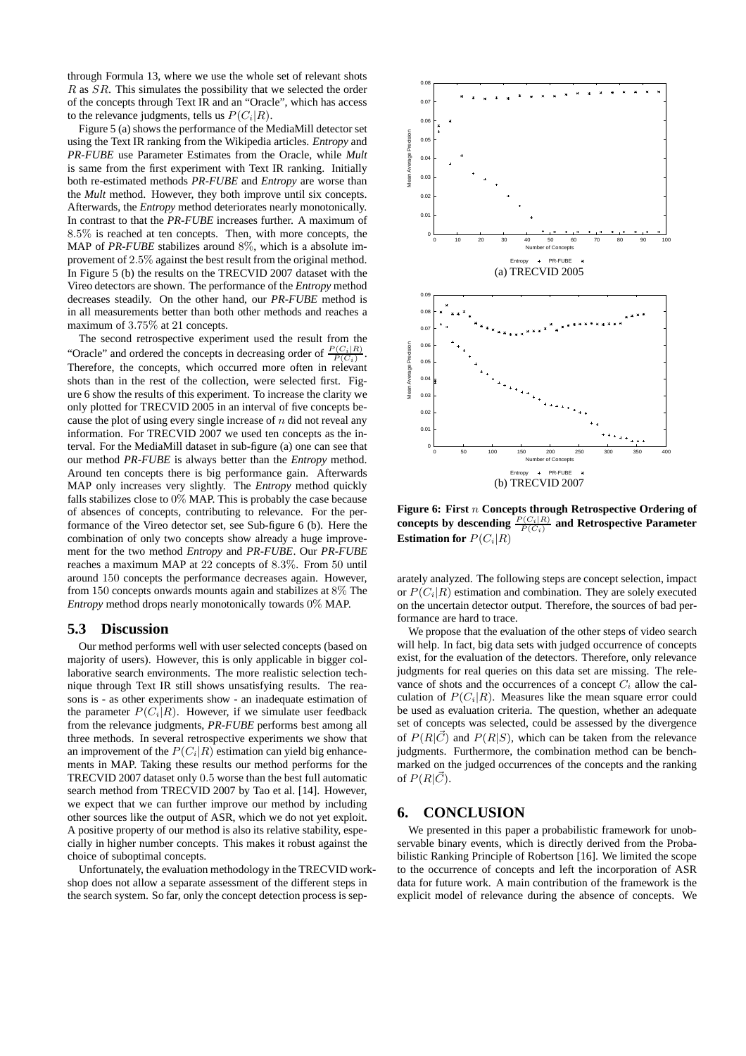through Formula 13, where we use the whole set of relevant shots R as SR. This simulates the possibility that we selected the order of the concepts through Text IR and an "Oracle", which has access to the relevance judgments, tells us  $P(C_i|R)$ .

Figure 5 (a) shows the performance of the MediaMill detector set using the Text IR ranking from the Wikipedia articles. *Entropy* and *PR-FUBE* use Parameter Estimates from the Oracle, while *Mult* is same from the first experiment with Text IR ranking. Initially both re-estimated methods *PR-FUBE* and *Entropy* are worse than the *Mult* method. However, they both improve until six concepts. Afterwards, the *Entropy* method deteriorates nearly monotonically. In contrast to that the *PR-FUBE* increases further. A maximum of 8.5% is reached at ten concepts. Then, with more concepts, the MAP of *PR-FUBE* stabilizes around 8%, which is a absolute improvement of 2.5% against the best result from the original method. In Figure 5 (b) the results on the TRECVID 2007 dataset with the Vireo detectors are shown. The performance of the *Entropy* method decreases steadily. On the other hand, our *PR-FUBE* method is in all measurements better than both other methods and reaches a maximum of 3.75% at 21 concepts.

The second retrospective experiment used the result from the "Oracle" and ordered the concepts in decreasing order of  $\frac{P(C_i|R)}{P(C_i)}$ . Therefore, the concepts, which occurred more often in relevant shots than in the rest of the collection, were selected first. Figure 6 show the results of this experiment. To increase the clarity we only plotted for TRECVID 2005 in an interval of five concepts because the plot of using every single increase of  $n$  did not reveal any information. For TRECVID 2007 we used ten concepts as the interval. For the MediaMill dataset in sub-figure (a) one can see that our method *PR-FUBE* is always better than the *Entropy* method. Around ten concepts there is big performance gain. Afterwards MAP only increases very slightly. The *Entropy* method quickly falls stabilizes close to 0% MAP. This is probably the case because of absences of concepts, contributing to relevance. For the performance of the Vireo detector set, see Sub-figure 6 (b). Here the combination of only two concepts show already a huge improvement for the two method *Entropy* and *PR-FUBE*. Our *PR-FUBE* reaches a maximum MAP at 22 concepts of 8.3%. From 50 until around 150 concepts the performance decreases again. However, from 150 concepts onwards mounts again and stabilizes at 8% The *Entropy* method drops nearly monotonically towards 0% MAP.

## **5.3 Discussion**

Our method performs well with user selected concepts (based on majority of users). However, this is only applicable in bigger collaborative search environments. The more realistic selection technique through Text IR still shows unsatisfying results. The reasons is - as other experiments show - an inadequate estimation of the parameter  $P(C_i|R)$ . However, if we simulate user feedback from the relevance judgments, *PR-FUBE* performs best among all three methods. In several retrospective experiments we show that an improvement of the  $P(C_i|R)$  estimation can yield big enhancements in MAP. Taking these results our method performs for the TRECVID 2007 dataset only 0.5 worse than the best full automatic search method from TRECVID 2007 by Tao et al. [14]. However, we expect that we can further improve our method by including other sources like the output of ASR, which we do not yet exploit. A positive property of our method is also its relative stability, especially in higher number concepts. This makes it robust against the choice of suboptimal concepts.

Unfortunately, the evaluation methodology in the TRECVID workshop does not allow a separate assessment of the different steps in the search system. So far, only the concept detection process is sep-



**Figure 6: First** n **Concepts through Retrospective Ordering of** concepts by descending  $\frac{P(C_i|R)}{P(C_i)}$  and Retrospective Parameter **Estimation for**  $P(C_i|R)$ 

arately analyzed. The following steps are concept selection, impact or  $P(C_i|R)$  estimation and combination. They are solely executed on the uncertain detector output. Therefore, the sources of bad performance are hard to trace.

We propose that the evaluation of the other steps of video search will help. In fact, big data sets with judged occurrence of concepts exist, for the evaluation of the detectors. Therefore, only relevance judgments for real queries on this data set are missing. The relevance of shots and the occurrences of a concept  $C_i$  allow the calculation of  $P(C_i|R)$ . Measures like the mean square error could be used as evaluation criteria. The question, whether an adequate set of concepts was selected, could be assessed by the divergence of  $P(R|\vec{C})$  and  $P(R|S)$ , which can be taken from the relevance judgments. Furthermore, the combination method can be benchmarked on the judged occurrences of the concepts and the ranking of  $P(R|\vec{C})$ .

## **6. CONCLUSION**

We presented in this paper a probabilistic framework for unobservable binary events, which is directly derived from the Probabilistic Ranking Principle of Robertson [16]. We limited the scope to the occurrence of concepts and left the incorporation of ASR data for future work. A main contribution of the framework is the explicit model of relevance during the absence of concepts. We